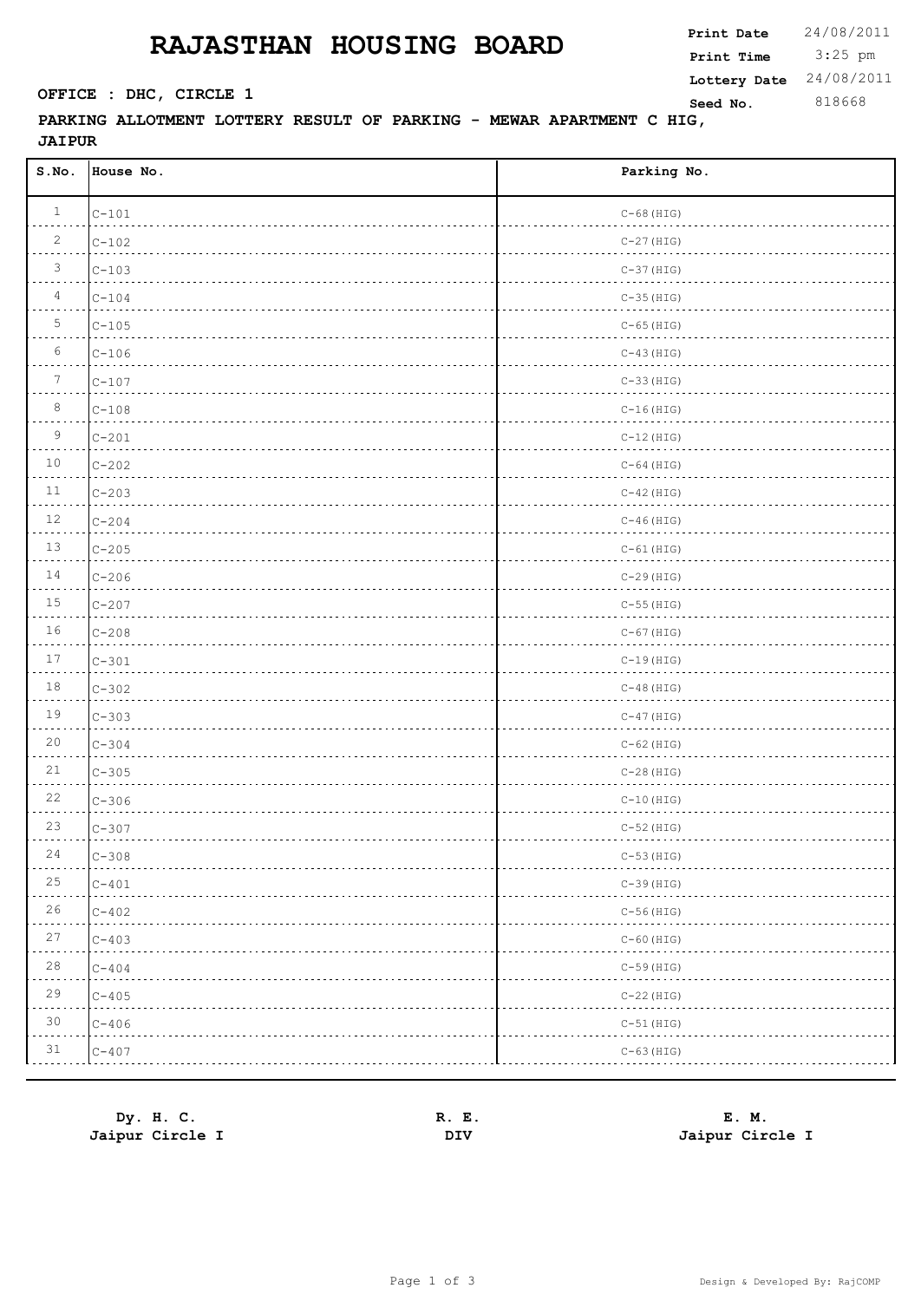## **RAJASTHAN HOUSING BOARD**

**Print Time**

 3:25 pm **Print Date**  $24/08/2011$ **SEED OFFICE : DHC, CIRCLE 1 Seed No.** 818668 **Lottery Date** 24/08/2011

**PARKING ALLOTMENT LOTTERY RESULT OF PARKING - MEWAR APARTMENT C HIG, JAIPUR**

| S.No.           | House No. | Parking No.  |
|-----------------|-----------|--------------|
| $\mathbf{1}$    | $C-101$   | $C-68$ (HIG) |
| $\overline{2}$  | $C-102$   | $C-27$ (HIG) |
| $\mathfrak{Z}$  | $C-103$   | $C-37$ (HIG) |
| $\overline{4}$  | $C-104$   | $C-35$ (HIG) |
| $\overline{5}$  | $C-105$   | $C-65$ (HIG) |
| 6               | $C-106$   | $C-43$ (HIG) |
| $7\phantom{.0}$ | $C-107$   | $C-33$ (HIG) |
| 8               | $C-108$   | $C-16$ (HIG) |
| $\mathsf 9$     | $C-201$   | $C-12$ (HIG) |
| $10$            | $C-202$   | $C-64$ (HIG) |
| 11              | $C-203$   | $C-42$ (HIG) |
| 12              | $C-204$   | $C-46$ (HIG) |
| $13$            | $C-205$   | $C-61$ (HIG) |
| 14              | $C-206$   | $C-29$ (HIG) |
| 15              | $C-207$   | $C-55$ (HIG) |
| 16              | $C-208$   | $C-67$ (HIG) |
| 17              | $C-301$   | $C-19$ (HIG) |
| $18\,$          | $C-302$   | $C-48$ (HIG) |
| 19              | $C-303$   | $C-47$ (HIG) |
| 20              | $C-304$   | $C-62$ (HIG) |
| 21              | $C-305$   | $C-28$ (HIG) |
| $2\sqrt{2}$     | $C-306$   | $C-10$ (HIG) |
| 23              | $C-307$   | $C-52$ (HIG) |
| $2\,4$          | $C - 308$ | $C-53$ (HIG) |
| 25              | $C-401$   | $C-39$ (HIG) |
| 26              | $C - 402$ | $C-56$ (HIG) |
| $27\,$          | $C-403$   | $C-60$ (HIG) |
| 28              | $C - 404$ | $C-59$ (HIG) |
| 29              | $C - 405$ | $C-22$ (HIG) |
| 30              | $C - 406$ | $C-51$ (HIG) |
| 31              | $C-407$   | $C-63$ (HIG) |

| Dy. H. C.       | Е.<br>к. | E. M.           |
|-----------------|----------|-----------------|
| Jaipur Circle I | DIV      | Jaipur Circle I |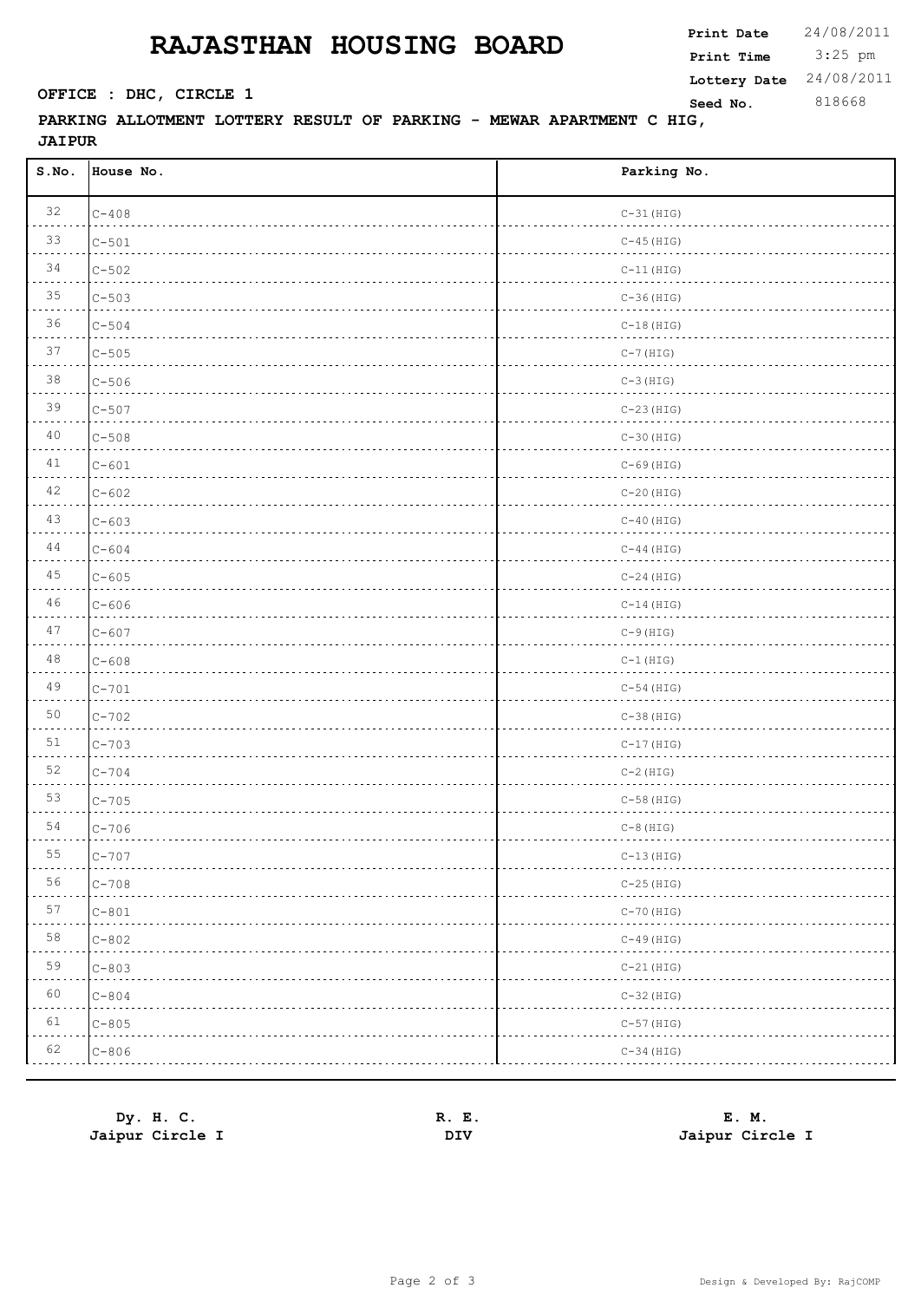## **RAJASTHAN HOUSING BOARD**

 3:25 pm **Print Date**  $24/08/2011$ **Print Time SEED OFFICE : DHC, CIRCLE 1 Seed No.** 818668 **Lottery Date** 24/08/2011

## **PARKING ALLOTMENT LOTTERY RESULT OF PARKING - MEWAR APARTMENT C HIG, JAIPUR**

| S.NO.                                                                                                                           | House No. | Parking No.  |
|---------------------------------------------------------------------------------------------------------------------------------|-----------|--------------|
| 32                                                                                                                              | $C-408$   | $C-31$ (HIG) |
| 33                                                                                                                              | $C - 501$ | $C-45$ (HIG) |
| 34                                                                                                                              | $C - 502$ | $C-11$ (HIG) |
| 35                                                                                                                              | $C - 503$ | $C-36$ (HIG) |
| 36                                                                                                                              | $C - 504$ | $C-18$ (HIG) |
| 37                                                                                                                              | $C - 505$ | $C-7$ (HIG)  |
| 38                                                                                                                              | $C - 506$ | $C-3$ (HIG)  |
| 39                                                                                                                              | $C - 507$ | $C-23$ (HIG) |
| 40                                                                                                                              | $C - 508$ | $C-30$ (HIG) |
| 41                                                                                                                              | $C - 601$ | $C-69$ (HIG) |
| 42                                                                                                                              | $C - 602$ | $C-20$ (HIG) |
| 43                                                                                                                              | $C - 603$ | $C-40$ (HIG) |
| 44                                                                                                                              | $C - 604$ | $C-44$ (HIG) |
| 45                                                                                                                              | $C - 605$ | $C-24$ (HIG) |
| 46                                                                                                                              | $C - 606$ | $C-14$ (HIG) |
| 47                                                                                                                              | $C - 607$ | $C-9$ (HIG)  |
| 48                                                                                                                              | $C - 608$ | $C-1$ (HIG)  |
| 49                                                                                                                              | $C-701$   | $C-54$ (HIG) |
| 50                                                                                                                              | $C - 702$ | $C-38$ (HIG) |
| 51                                                                                                                              | $C - 703$ | $C-17$ (HIG) |
| 52                                                                                                                              | $C - 704$ | $C-2$ (HIG)  |
| 53                                                                                                                              | $C-705$   | $C-58$ (HIG) |
| 54                                                                                                                              | $C-706$   | $C-8$ (HIG)  |
| 55<br>$\frac{1}{2} \left( \frac{1}{2} \right) \left( \frac{1}{2} \right) \left( \frac{1}{2} \right) \left( \frac{1}{2} \right)$ | $C - 707$ | $C-13$ (HIG) |
| 56                                                                                                                              | $C - 708$ | $C-25$ (HIG) |
| 57                                                                                                                              | $C - 801$ | $C-70$ (HIG) |
| $5\,8$                                                                                                                          | $C - 802$ | $C-49$ (HIG) |
| 59                                                                                                                              | $C - 803$ | $C-21$ (HIG) |
| 60                                                                                                                              | $C - 804$ | $C-32$ (HIG) |
| 61                                                                                                                              | $C - 805$ | $C-57$ (HIG) |
| 62                                                                                                                              | $C-806$   | $C-34$ (HIG) |

| Dy. H. C.       | Е.<br>к. | E. M.           |
|-----------------|----------|-----------------|
| Jaipur Circle I | DIV      | Jaipur Circle I |